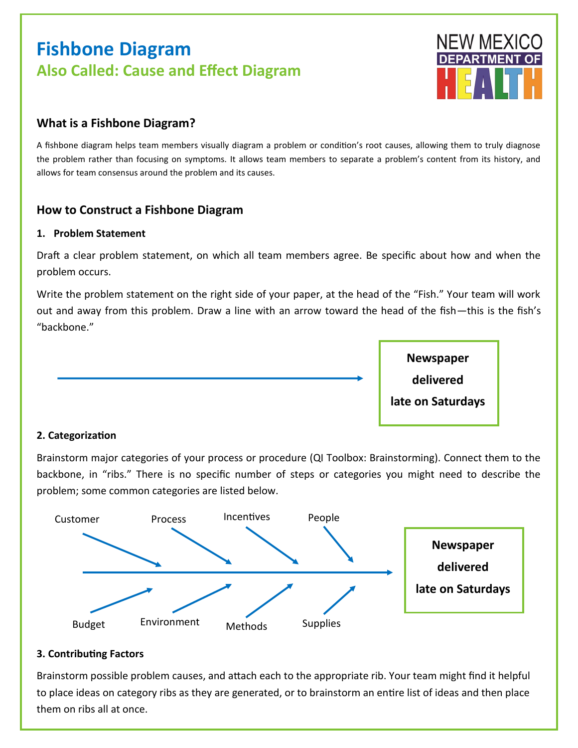# **Fishbone Diagram Also Called: Cause and Effect Diagram**



## **What is a Fishbone Diagram?**

A fishbone diagram helps team members visually diagram a problem or condition's root causes, allowing them to truly diagnose the problem rather than focusing on symptoms. It allows team members to separate a problem's content from its history, and allows for team consensus around the problem and its causes.

## **How to Construct a Fishbone Diagram**

#### **1. Problem Statement**

Draft a clear problem statement, on which all team members agree. Be specific about how and when the problem occurs.

Write the problem statement on the right side of your paper, at the head of the "Fish." Your team will work out and away from this problem. Draw a line with an arrow toward the head of the fish—this is the fish's "backbone."



#### **2. Categorization**

Brainstorm major categories of your process or procedure (QI Toolbox: Brainstorming). Connect them to the backbone, in "ribs." There is no specific number of steps or categories you might need to describe the problem; some common categories are listed below.



#### **3. Contributing Factors**

Brainstorm possible problem causes, and attach each to the appropriate rib. Your team might find it helpful to place ideas on category ribs as they are generated, or to brainstorm an entire list of ideas and then place them on ribs all at once.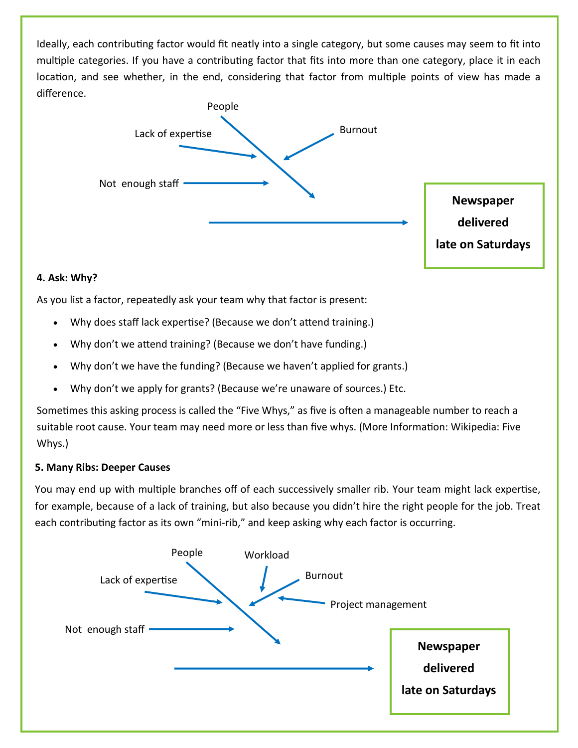Ideally, each contributing factor would fit neatly into a single category, but some causes may seem to fit into multiple categories. If you have a contributing factor that fits into more than one category, place it in each location, and see whether, in the end, considering that factor from multiple points of view has made a difference.



#### **4. Ask: Why?**

As you list a factor, repeatedly ask your team why that factor is present:

- Why does staff lack expertise? (Because we don't attend training.)
- Why don't we attend training? (Because we don't have funding.)
- Why don't we have the funding? (Because we haven't applied for grants.)
- Why don't we apply for grants? (Because we're unaware of sources.) Etc.

Sometimes this asking process is called the "Five Whys," as five is often a manageable number to reach a suitable root cause. Your team may need more or less than five whys. (More Information: Wikipedia: Five Whys.)

#### **5. Many Ribs: Deeper Causes**

You may end up with multiple branches off of each successively smaller rib. Your team might lack expertise, for example, because of a lack of training, but also because you didn't hire the right people for the job. Treat each contributing factor as its own "mini-rib," and keep asking why each factor is occurring.